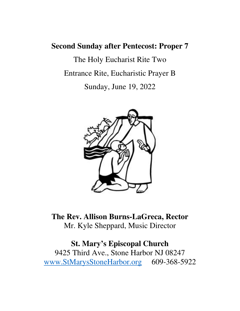# **Second Sunday after Pentecost: Proper 7**

The Holy Eucharist Rite Two Entrance Rite, Eucharistic Prayer B Sunday, June 19, 2022



**The Rev. Allison Burns-LaGreca, Rector** Mr. Kyle Sheppard, Music Director

# **St. Mary's Episcopal Church**

9425 Third Ave., Stone Harbor NJ 08247 www.StMarysStoneHarbor.org 609-368-5922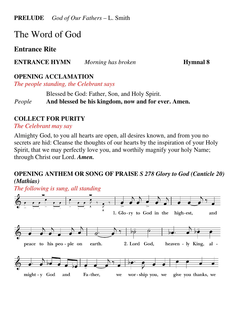**PRELUDE** *God of Our Fathers* – L. Smith

# The Word of God

# **Entrance Rite**

**ENTRANCE HYMN** *Morning has broken* **Hymnal 8** 

#### **OPENING ACCLAMATION**

*The people standing, the Celebrant says* 

Blessed be God: Father, Son, and Holy Spirit.

*People* **And blessed be his kingdom, now and for ever. Amen.**

#### **COLLECT FOR PURITY**

*The Celebrant may say* 

Almighty God, to you all hearts are open, all desires known, and from you no secrets are hid: Cleanse the thoughts of our hearts by the inspiration of your Holy Spirit, that we may perfectly love you, and worthily magnify your holy Name; through Christ our Lord. *Amen.*

#### **OPENING ANTHEM OR SONG OF PRAISE** *S 278 Glory to God (Canticle 20) (Mathias)*

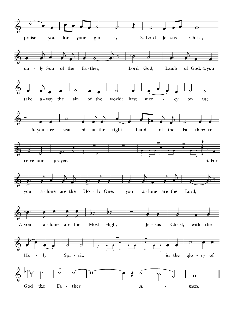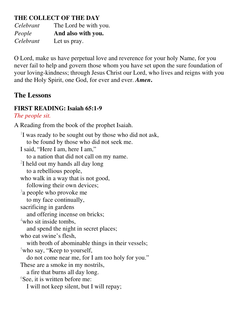# **THE COLLECT OF THE DAY**

*Celebrant* The Lord be with you. *People* **And also with you.**  *Celebrant* Let us pray.

O Lord, make us have perpetual love and reverence for your holy Name, for you never fail to help and govern those whom you have set upon the sure foundation of your loving-kindness; through Jesus Christ our Lord, who lives and reigns with you and the Holy Spirit, one God, for ever and ever. *Amen***.**

# **The Lessons**

# **FIRST READING: Isaiah 65:1-9**

# *The people sit.*

A Reading from the book of the prophet Isaiah.

1 I was ready to be sought out by those who did not ask, to be found by those who did not seek me. I said, "Here I am, here I am," to a nation that did not call on my name. 2 I held out my hands all day long to a rebellious people, who walk in a way that is not good, following their own devices; <sup>3</sup>a people who provoke me to my face continually, sacrificing in gardens and offering incense on bricks; <sup>4</sup>who sit inside tombs. and spend the night in secret places; who eat swine's flesh, with broth of abominable things in their vessels;  $5$ who say, "Keep to yourself, do not come near me, for I am too holy for you." These are a smoke in my nostrils, a fire that burns all day long. <sup>6</sup>See, it is written before me: I will not keep silent, but I will repay;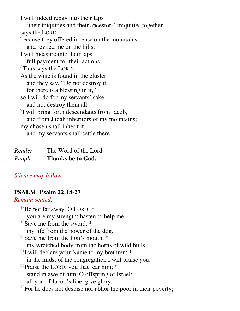I will indeed repay into their laps <sup>7</sup>their iniquities and their ancestors' iniquities together, says the LORD; because they offered incense on the mountains and reviled me on the hills, I will measure into their laps full payment for their actions. <sup>8</sup>Thus says the LORD: As the wine is found in the cluster, and they say, "Do not destroy it, for there is a blessing in it," so I will do for my servants' sake, and not destroy them all. 9 I will bring forth descendants from Jacob, and from Judah inheritors of my mountains; my chosen shall inherit it, and my servants shall settle there.

| Reader | The Word of the Lord.    |
|--------|--------------------------|
| People | <b>Thanks be to God.</b> |

#### *Silence may follow.*

#### **PSALM: Psalm 22:18-27**

#### *Remain seated.*

 $18$ Be not far away, O LORD;  $*$  you are my strength; hasten to help me. <sup>19</sup>Save me from the sword,  $*$  my life from the power of the dog. <sup>20</sup>Save me from the lion's mouth,  $*$  my wretched body from the horns of wild bulls. <sup>21</sup>I will declare your Name to my brethren;  $*$  in the midst of the congregation I will praise you. <sup>22</sup>Praise the LORD, you that fear him;  $*$  stand in awe of him, O offspring of Israel; all you of Jacob's line, give glory.  $^{23}$ For he does not despise nor abhor the poor in their poverty;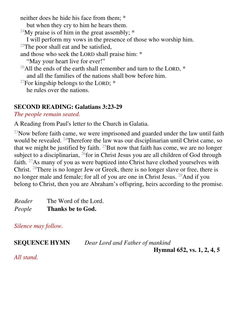neither does he hide his face from them; \*

- but when they cry to him he hears them.
- <sup>24</sup>My praise is of him in the great assembly;  $*$
- I will perform my vows in the presence of those who worship him.
- $25$ The poor shall eat and be satisfied,
- and those who seek the LORD shall praise him: \*
	- "May your heart live for ever!"
- <sup>26</sup>All the ends of the earth shall remember and turn to the LORD,  $*$ and all the families of the nations shall bow before him.
- <sup>27</sup>For kingship belongs to the LORD;  $*$ he rules over the nations.

# **SECOND READING: Galatians 3:23-29**

#### *The people remain seated.*

A Reading from Paul's letter to the Church in Galatia.

 $^{23}$ Now before faith came, we were imprisoned and guarded under the law until faith would be revealed. <sup>24</sup>Therefore the law was our disciplinarian until Christ came, so that we might be justified by faith.  $25$ But now that faith has come, we are no longer subject to a disciplinarian,  $^{26}$  for in Christ Jesus you are all children of God through faith. <sup>27</sup>As many of you as were baptized into Christ have clothed yourselves with Christ. <sup>28</sup>There is no longer Jew or Greek, there is no longer slave or free, there is no longer male and female; for all of you are one in Christ Jesus. <sup>29</sup>And if you belong to Christ, then you are Abraham's offspring, heirs according to the promise.

*Reader* The Word of the Lord. *People* **Thanks be to God.** 

*Silence may follow.* 

**SEQUENCE HYMN** *Dear Lord and Father of mankind*

 **Hymnal 652, vs. 1, 2, 4, 5**

*All stand.*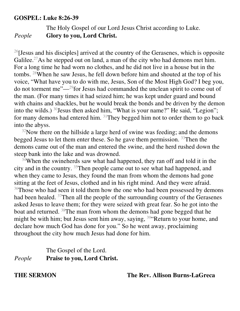#### **GOSPEL: Luke 8:26-39**

The Holy Gospel of our Lord Jesus Christ according to Luke. *People* **Glory to you, Lord Christ.** 

 $^{26}$ [Jesus and his disciples] arrived at the country of the Gerasenes, which is opposite Galilee.<sup>27</sup>As he stepped out on land, a man of the city who had demons met him. For a long time he had worn no clothes, and he did not live in a house but in the tombs. <sup>28</sup>When he saw Jesus, he fell down before him and shouted at the top of his voice, "What have you to do with me, Jesus, Son of the Most High God? I beg you, do not torment me"—<sup>29</sup>for Jesus had commanded the unclean spirit to come out of the man. (For many times it had seized him; he was kept under guard and bound with chains and shackles, but he would break the bonds and be driven by the demon into the wilds.) <sup>30</sup>Jesus then asked him, "What is your name?" He said, "Legion"; for many demons had entered him. <sup>31</sup>They begged him not to order them to go back into the abyss.

 $32$ Now there on the hillside a large herd of swine was feeding; and the demons begged Jesus to let them enter these. So he gave them permission. <sup>33</sup>Then the demons came out of the man and entered the swine, and the herd rushed down the steep bank into the lake and was drowned.

<sup>34</sup>When the swineherds saw what had happened, they ran off and told it in the city and in the country.  $35$ Then people came out to see what had happened, and when they came to Jesus, they found the man from whom the demons had gone sitting at the feet of Jesus, clothed and in his right mind. And they were afraid. <sup>36</sup>Those who had seen it told them how the one who had been possessed by demons had been healed. <sup>37</sup>Then all the people of the surrounding country of the Gerasenes asked Jesus to leave them; for they were seized with great fear. So he got into the boat and returned. <sup>38</sup>The man from whom the demons had gone begged that he might be with him; but Jesus sent him away, saying,  $39$  Return to your home, and declare how much God has done for you." So he went away, proclaiming throughout the city how much Jesus had done for him.

#### The Gospel of the Lord. *People* **Praise to you, Lord Christ.**

**THE SERMON The Rev. Allison Burns-LaGreca**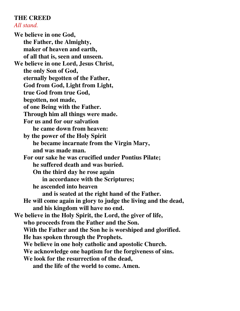#### **THE CREED**  *All stand.*

**We believe in one God, the Father, the Almighty, maker of heaven and earth, of all that is, seen and unseen. We believe in one Lord, Jesus Christ, the only Son of God, eternally begotten of the Father, God from God, Light from Light, true God from true God, begotten, not made, of one Being with the Father. Through him all things were made. For us and for our salvation he came down from heaven: by the power of the Holy Spirit he became incarnate from the Virgin Mary, and was made man. For our sake he was crucified under Pontius Pilate; he suffered death and was buried. On the third day he rose again in accordance with the Scriptures; he ascended into heaven and is seated at the right hand of the Father. He will come again in glory to judge the living and the dead, and his kingdom will have no end. We believe in the Holy Spirit, the Lord, the giver of life, who proceeds from the Father and the Son. With the Father and the Son he is worshiped and glorified. He has spoken through the Prophets. We believe in one holy catholic and apostolic Church. We acknowledge one baptism for the forgiveness of sins. We look for the resurrection of the dead, and the life of the world to come. Amen.**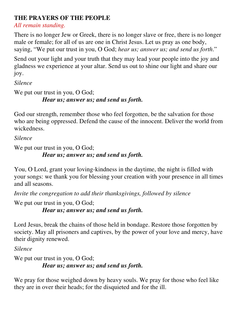# **THE PRAYERS OF THE PEOPLE**

*All remain standing.* 

There is no longer Jew or Greek, there is no longer slave or free, there is no longer male or female; for all of us are one in Christ Jesus. Let us pray as one body, saying, "We put our trust in you, O God; *hear us; answer us; and send us forth*."

Send out your light and your truth that they may lead your people into the joy and gladness we experience at your altar. Send us out to shine our light and share our joy.

*Silence*

We put our trust in you, O God; *Hear us; answer us; and send us forth.* 

God our strength, remember those who feel forgotten, be the salvation for those who are being oppressed. Defend the cause of the innocent. Deliver the world from wickedness.

*Silence*

We put our trust in you, O God;

# *Hear us; answer us; and send us forth.*

You, O Lord, grant your loving-kindness in the daytime, the night is filled with your songs: we thank you for blessing your creation with your presence in all times and all seasons.

*Invite the congregation to add their thanksgivings, followed by silence*

We put our trust in you, O God;

*Hear us; answer us; and send us forth.* 

Lord Jesus, break the chains of those held in bondage. Restore those forgotten by society. May all prisoners and captives, by the power of your love and mercy, have their dignity renewed.

*Silence*

```
We put our trust in you, O God;
Hear us; answer us; and send us forth.
```
We pray for those weighed down by heavy souls. We pray for those who feel like they are in over their heads; for the disquieted and for the ill.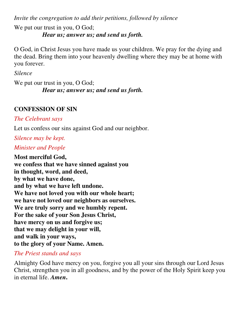*Invite the congregation to add their petitions, followed by silence* We put our trust in you, O God; *Hear us; answer us; and send us forth.* 

O God, in Christ Jesus you have made us your children. We pray for the dying and the dead. Bring them into your heavenly dwelling where they may be at home with you forever.

*Silence*

We put our trust in you, O God; *Hear us; answer us; and send us forth.*

### **CONFESSION OF SIN**

*The Celebrant says* 

Let us confess our sins against God and our neighbor.

*Silence may be kept.* 

*Minister and People* 

**Most merciful God, we confess that we have sinned against you in thought, word, and deed, by what we have done, and by what we have left undone. We have not loved you with our whole heart; we have not loved our neighbors as ourselves. We are truly sorry and we humbly repent. For the sake of your Son Jesus Christ, have mercy on us and forgive us; that we may delight in your will, and walk in your ways, to the glory of your Name. Amen.** 

*The Priest stands and says* 

Almighty God have mercy on you, forgive you all your sins through our Lord Jesus Christ, strengthen you in all goodness, and by the power of the Holy Spirit keep you in eternal life. *Amen***.**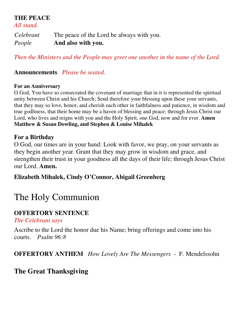**THE PEACE** 

*All stand.* 

*Celebrant* The peace of the Lord be always with you. *People* **And also with you.** 

*Then the Ministers and the People may greet one another in the name of the Lord.* 

**Announcements** *Please be seated.*

#### **For an Anniversary**

O God, You have so consecrated the covenant of marriage that in it is represented the spiritual unity between Christ and his Church; Send therefore your blessing upon these your servants, that they may so love, honor, and cherish each other in faithfulness and patience, in wisdom and true godliness, that their home may be a haven of blessing and peace; through Jesus Christ our Lord, who lives and reigns with you and the Holy Spirit, one God, now and for ever. **Amen Matthew & Susan Dowling, and Stephen & Louise Mihalek** 

#### **For a Birthday**

O God, our times are in your hand: Look with favor, we pray, on your servants as they begin another year. Grant that they may grow in wisdom and grace, and strengthen their trust in your goodness all the days of their life; through Jesus Christ our Lord. **Amen.** 

#### **Elizabeth Mihalek, Cindy O'Connor, Abigail Greenberg**

# The Holy Communion

#### **OFFERTORY SENTENCE**

*The Celebrant says* 

Ascribe to the Lord the honor due his Name; bring offerings and come into his courts. *Psalm 96:8*

#### **OFFERTORY ANTHEM** *How Lovely Are The Messengers* - F. Mendelssohn

# **The Great Thanksgiving**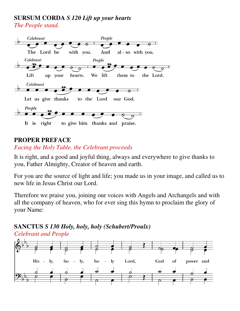#### **SURSUM CORDA** *S 120 Lift up your hearts The People stand.*



#### **PROPER PREFACE**

#### *Facing the Holy Table, the Celebrant proceeds*

It is right, and a good and joyful thing, always and everywhere to give thanks to you, Father Almighty, Creator of heaven and earth.

For you are the source of light and life; you made us in your image, and called us to new life in Jesus Christ our Lord.

Therefore we praise you, joining our voices with Angels and Archangels and with all the company of heaven, who for ever sing this hymn to proclaim the glory of your Name:

#### **SANCTUS** *S 130 Holy, holy, holy (Schubert/Proulx) Celebrant and People*

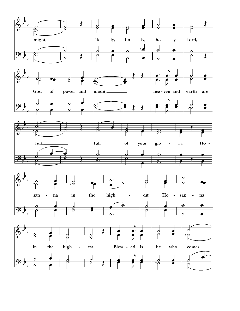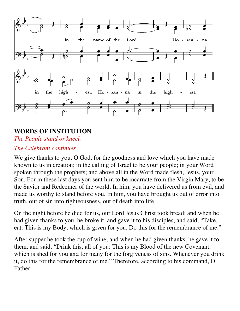

# **WORDS OF INSTITUTION**

*The People stand or kneel.* 

#### *The Celebrant continues*

We give thanks to you, O God, for the goodness and love which you have made known to us in creation; in the calling of Israel to be your people; in your Word spoken through the prophets; and above all in the Word made flesh, Jesus, your Son. For in these last days you sent him to be incarnate from the Virgin Mary, to be the Savior and Redeemer of the world. In him, you have delivered us from evil, and made us worthy to stand before you. In him, you have brought us out of error into truth, out of sin into righteousness, out of death into life.

On the night before he died for us, our Lord Jesus Christ took bread; and when he had given thanks to you, he broke it, and gave it to his disciples, and said, "Take, eat: This is my Body, which is given for you. Do this for the remembrance of me."

After supper he took the cup of wine; and when he had given thanks, he gave it to them, and said, "Drink this, all of you: This is my Blood of the new Covenant, which is shed for you and for many for the forgiveness of sins. Whenever you drink it, do this for the remembrance of me." Therefore, according to his command, O Father,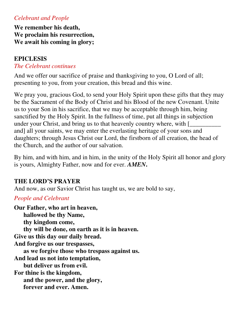#### *Celebrant and People*

**We remember his death, We proclaim his resurrection, We await his coming in glory;** 

# **EPICLESIS**

#### *The Celebrant continues*

And we offer our sacrifice of praise and thanksgiving to you, O Lord of all; presenting to you, from your creation, this bread and this wine.

We pray you, gracious God, to send your Holy Spirit upon these gifts that they may be the Sacrament of the Body of Christ and his Blood of the new Covenant. Unite us to your Son in his sacrifice, that we may be acceptable through him, being sanctified by the Holy Spirit. In the fullness of time, put all things in subjection under your Christ, and bring us to that heavenly country where, with [ and] all your saints, we may enter the everlasting heritage of your sons and daughters; through Jesus Christ our Lord, the firstborn of all creation, the head of the Church, and the author of our salvation.

By him, and with him, and in him, in the unity of the Holy Spirit all honor and glory is yours, Almighty Father, now and for ever. *AMEN***.**

#### **THE LORD'S PRAYER**

And now, as our Savior Christ has taught us, we are bold to say,

#### *People and Celebrant*

**Our Father, who art in heaven, hallowed be thy Name, thy kingdom come, thy will be done, on earth as it is in heaven. Give us this day our daily bread. And forgive us our trespasses, as we forgive those who trespass against us. And lead us not into temptation, but deliver us from evil. For thine is the kingdom, and the power, and the glory, forever and ever. Amen.**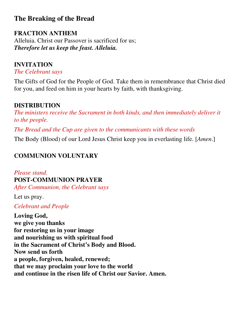# **The Breaking of the Bread**

# **FRACTION ANTHEM**

Alleluia. Christ our Passover is sacrificed for us; *Therefore let us keep the feast. Alleluia.*

# **INVITATION**

*The Celebrant says* 

The Gifts of God for the People of God. Take them in remembrance that Christ died for you, and feed on him in your hearts by faith, with thanksgiving.

# **DISTRIBUTION**

*The ministers receive the Sacrament in both kinds, and then immediately deliver it to the people.* 

*The Bread and the Cup are given to the communicants with these words* 

The Body (Blood) of our Lord Jesus Christ keep you in everlasting life. [*Amen*.]

# **COMMUNION VOLUNTARY**

*Please stand.*  **POST-COMMUNION PRAYER**  *After Communion, the Celebrant says* 

Let us pray.

*Celebrant and People* 

**Loving God, we give you thanks for restoring us in your image and nourishing us with spiritual food in the Sacrament of Christ's Body and Blood. Now send us forth a people, forgiven, healed, renewed; that we may proclaim your love to the world and continue in the risen life of Christ our Savior. Amen.**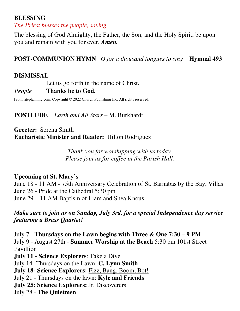#### **BLESSING**

*The Priest blesses the people, saying* 

The blessing of God Almighty, the Father, the Son, and the Holy Spirit, be upon you and remain with you for ever. *Amen.*

**POST-COMMUNION HYMN** *O for a thousand tongues to sing* **Hymnal 493**

#### **DISMISSAL**

Let us go forth in the name of Christ. *People* **Thanks be to God.** 

From riteplanning.com. Copyright © 2022 Church Publishing Inc. All rights reserved.

#### **POSTLUDE** *Earth and All Stars* – M. Burkhardt

**Greeter:** Serena Smith **Eucharistic Minister and Reader:** Hilton Rodriguez

> *Thank you for worshipping with us today. Please join us for coffee in the Parish Hall.*

#### **Upcoming at St. Mary's**

June 18 - 11 AM - 75th Anniversary Celebration of St. Barnabas by the Bay, Villas June 26 - Pride at the Cathedral 5:30 pm June 29 – 11 AM Baptism of Liam and Shea Knous

*Make sure to join us on Sunday, July 3rd, for a special Independence day service featuring a Brass Quartet!*

July 7 - **Thursdays on the Lawn begins with Three & One 7:30 – 9 PM** July 9 - August 27th - **Summer Worship at the Beach** 5:30 pm 101st Street Pavillion

**July 11 - Science Explorers**: Take a Dive July 14- Thursdays on the Lawn: **C. Lynn Smith July 18- Science Explorers:** Fizz, Bang, Boom, Bot! July 21 - Thursdays on the lawn: **Kyle and Friends July 25: Science Explorers:** Jr. Discoverers July 28 - **The Quietmen**